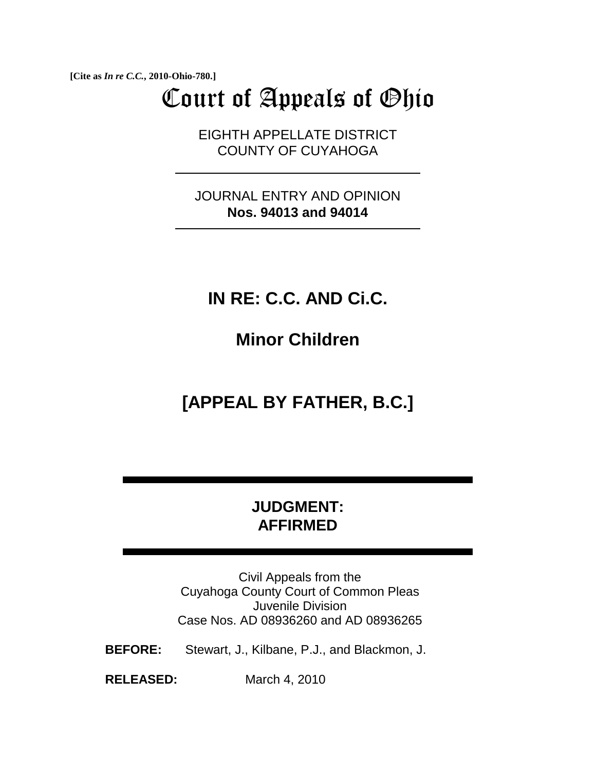**[Cite as** *In re C.C.***, 2010-Ohio-780.]**

# Court of Appeals of Ohio

EIGHTH APPELLATE DISTRICT COUNTY OF CUYAHOGA

JOURNAL ENTRY AND OPINION **Nos. 94013 and 94014**

### **IN RE: C.C. AND Ci.C.**

**Minor Children** 

## **[APPEAL BY FATHER, B.C.]**

### **JUDGMENT: AFFIRMED**

Civil Appeals from the Cuyahoga County Court of Common Pleas Juvenile Division Case Nos. AD 08936260 and AD 08936265

**BEFORE:** Stewart, J., Kilbane, P.J., and Blackmon, J.

**RELEASED:** March 4, 2010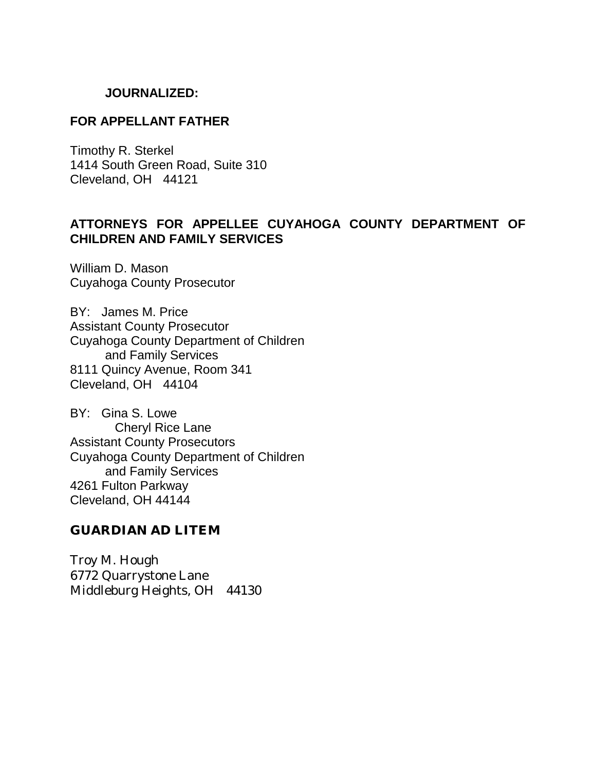#### **JOURNALIZED:**

#### **FOR APPELLANT FATHER**

Timothy R. Sterkel 1414 South Green Road, Suite 310 Cleveland, OH 44121

#### **ATTORNEYS FOR APPELLEE CUYAHOGA COUNTY DEPARTMENT OF CHILDREN AND FAMILY SERVICES**

William D. Mason Cuyahoga County Prosecutor

BY: James M. Price Assistant County Prosecutor Cuyahoga County Department of Children and Family Services 8111 Quincy Avenue, Room 341 Cleveland, OH 44104

BY: Gina S. Lowe Cheryl Rice Lane Assistant County Prosecutors Cuyahoga County Department of Children and Family Services 4261 Fulton Parkway Cleveland, OH 44144

#### **GUARDIAN AD LITEM**

Troy M. Hough 6772 Quarrystone Lane Middleburg Heights, OH 44130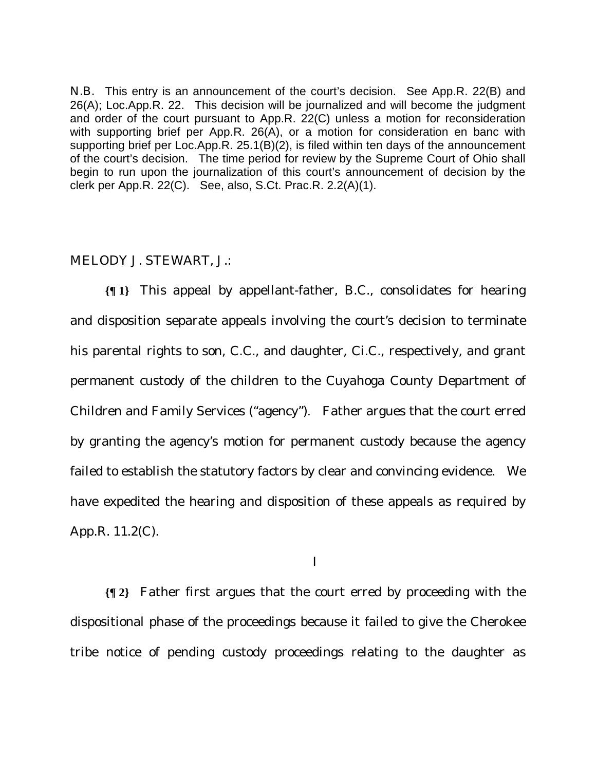N.B. This entry is an announcement of the court's decision. See App.R. 22(B) and 26(A); Loc.App.R. 22. This decision will be journalized and will become the judgment and order of the court pursuant to App.R. 22(C) unless a motion for reconsideration with supporting brief per App.R. 26(A), or a motion for consideration en banc with supporting brief per Loc.App.R. 25.1(B)(2), is filed within ten days of the announcement of the court's decision. The time period for review by the Supreme Court of Ohio shall begin to run upon the journalization of this court's announcement of decision by the clerk per App.R. 22(C). See, also, S.Ct. Prac.R. 2.2(A)(1).

#### MELODY J. STEWART, J.:

**{¶ 1}** This appeal by appellant-father, B.C., consolidates for hearing and disposition separate appeals involving the court's decision to terminate his parental rights to son, C.C., and daughter, Ci.C., respectively, and grant permanent custody of the children to the Cuyahoga County Department of Children and Family Services ("agency"). Father argues that the court erred by granting the agency's motion for permanent custody because the agency failed to establish the statutory factors by clear and convincing evidence. We have expedited the hearing and disposition of these appeals as required by App.R. 11.2(C).

I

**{¶ 2}** Father first argues that the court erred by proceeding with the dispositional phase of the proceedings because it failed to give the Cherokee tribe notice of pending custody proceedings relating to the daughter as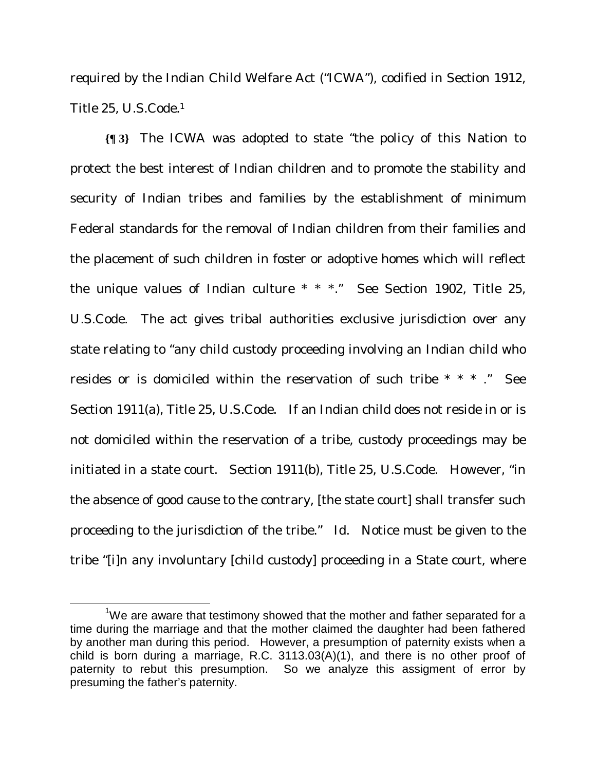required by the Indian Child Welfare Act ("ICWA"), codified in Section 1912, Title 25, U.S.Code.1

**{¶ 3}** The ICWA was adopted to state "the policy of this Nation to protect the best interest of Indian children and to promote the stability and security of Indian tribes and families by the establishment of minimum Federal standards for the removal of Indian children from their families and the placement of such children in foster or adoptive homes which will reflect the unique values of Indian culture \* \* \*." See Section 1902, Title 25, U.S.Code. The act gives tribal authorities exclusive jurisdiction over any state relating to "any child custody proceeding involving an Indian child who resides or is domiciled within the reservation of such tribe \* \* \* ." See Section 1911(a), Title 25, U.S.Code. If an Indian child does not reside in or is not domiciled within the reservation of a tribe, custody proceedings may be initiated in a state court. Section 1911(b), Title 25, U.S.Code. However, "in the absence of good cause to the contrary, [the state court] shall transfer such proceeding to the jurisdiction of the tribe." Id. Notice must be given to the tribe "[i]n any involuntary [child custody] proceeding in a State court, where

 $\frac{1}{1}$  $1$ We are aware that testimony showed that the mother and father separated for a time during the marriage and that the mother claimed the daughter had been fathered by another man during this period. However, a presumption of paternity exists when a child is born during a marriage, R.C. 3113.03(A)(1), and there is no other proof of paternity to rebut this presumption. So we analyze this assigment of error by presuming the father's paternity.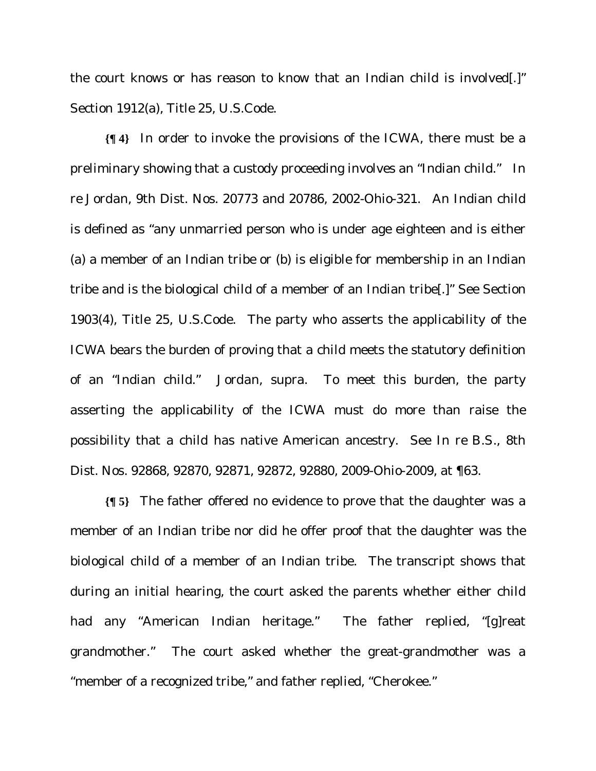the court knows or has reason to know that an Indian child is involved[.]" Section 1912(a), Title 25, U.S.Code.

**{¶ 4}** In order to invoke the provisions of the ICWA, there must be a preliminary showing that a custody proceeding involves an "Indian child." *In re Jordan*, 9th Dist. Nos. 20773 and 20786, 2002-Ohio-321. An Indian child is defined as "any unmarried person who is under age eighteen and is either (a) a member of an Indian tribe or (b) is eligible for membership in an Indian tribe and is the biological child of a member of an Indian tribe[.]" See Section 1903(4), Title 25, U.S.Code. The party who asserts the applicability of the ICWA bears the burden of proving that a child meets the statutory definition of an "Indian child." *Jordan*, supra. To meet this burden, the party asserting the applicability of the ICWA must do more than raise the possibility that a child has native American ancestry. See *In re B.S.*, 8th Dist. Nos. 92868, 92870, 92871, 92872, 92880, 2009-Ohio-2009, at ¶63.

**{¶ 5}** The father offered no evidence to prove that the daughter was a member of an Indian tribe nor did he offer proof that the daughter was the biological child of a member of an Indian tribe. The transcript shows that during an initial hearing, the court asked the parents whether either child had any "American Indian heritage." The father replied, "[g]reat grandmother." The court asked whether the great-grandmother was a "member of a recognized tribe," and father replied, "Cherokee."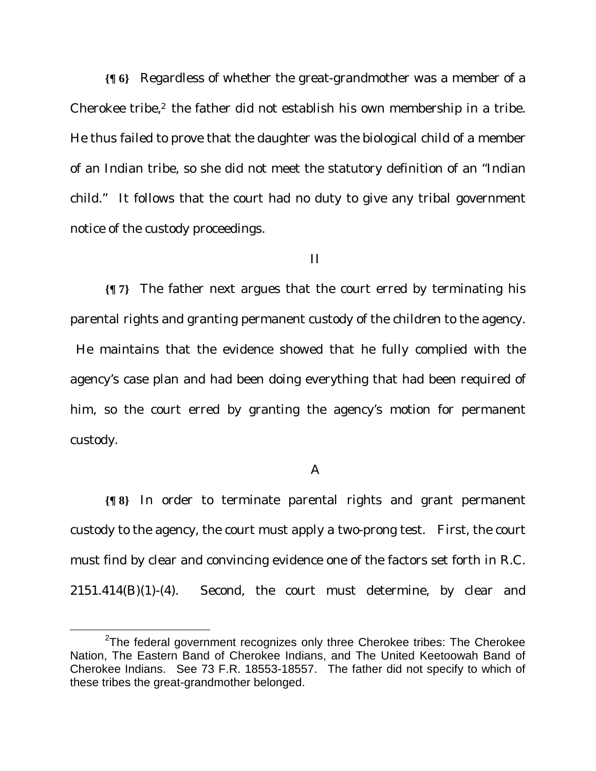**{¶ 6}** Regardless of whether the great-grandmother was a member of a Cherokee tribe, $2$  the father did not establish his own membership in a tribe. He thus failed to prove that the daughter was the biological child of a member of an Indian tribe, so she did not meet the statutory definition of an "Indian child." It follows that the court had no duty to give any tribal government notice of the custody proceedings.

#### II

**{¶ 7}** The father next argues that the court erred by terminating his parental rights and granting permanent custody of the children to the agency.

 He maintains that the evidence showed that he fully complied with the agency's case plan and had been doing everything that had been required of him, so the court erred by granting the agency's motion for permanent custody.

#### A

**{¶ 8}** In order to terminate parental rights and grant permanent custody to the agency, the court must apply a two-prong test. First, the court must find by clear and convincing evidence one of the factors set forth in R.C. 2151.414(B)(1)-(4). Second, the court must determine, by clear and

 $\frac{1}{2}$  $2$ The federal government recognizes only three Cherokee tribes: The Cherokee Nation, The Eastern Band of Cherokee Indians, and The United Keetoowah Band of Cherokee Indians. See 73 F.R. 18553-18557. The father did not specify to which of these tribes the great-grandmother belonged.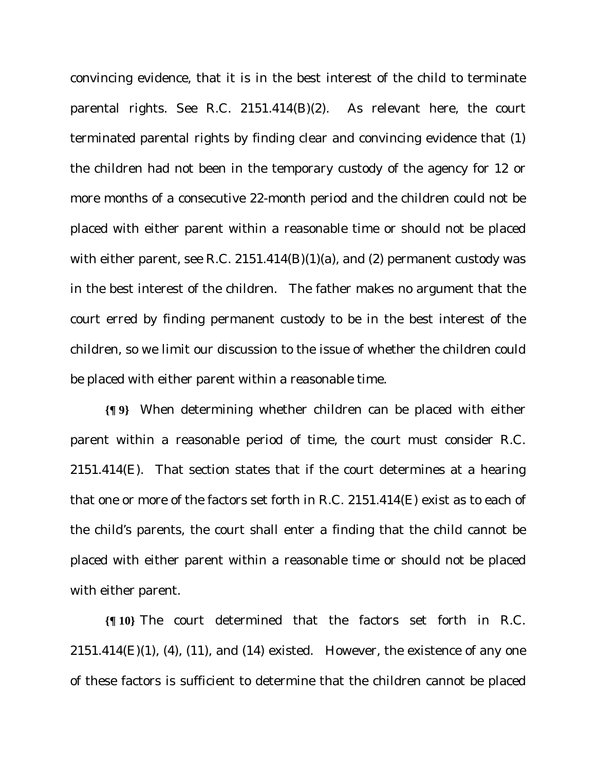convincing evidence, that it is in the best interest of the child to terminate parental rights. See R.C. 2151.414(B)(2). As relevant here, the court terminated parental rights by finding clear and convincing evidence that (1) the children had not been in the temporary custody of the agency for 12 or more months of a consecutive 22-month period and the children could not be placed with either parent within a reasonable time or should not be placed with either parent, see R.C. 2151.414(B)(1)(a), and (2) permanent custody was in the best interest of the children. The father makes no argument that the court erred by finding permanent custody to be in the best interest of the children, so we limit our discussion to the issue of whether the children could be placed with either parent within a reasonable time.

**{¶ 9}** When determining whether children can be placed with either parent within a reasonable period of time, the court must consider R.C.  $2151.414(E)$ . That section states that if the court determines at a hearing that one or more of the factors set forth in R.C. 2151.414(E) exist as to each of the child's parents, the court shall enter a finding that the child cannot be placed with either parent within a reasonable time or should not be placed with either parent.

**{¶ 10}** The court determined that the factors set forth in R.C.  $2151.414(E)(1)$ , (4), (11), and (14) existed. However, the existence of any one of these factors is sufficient to determine that the children cannot be placed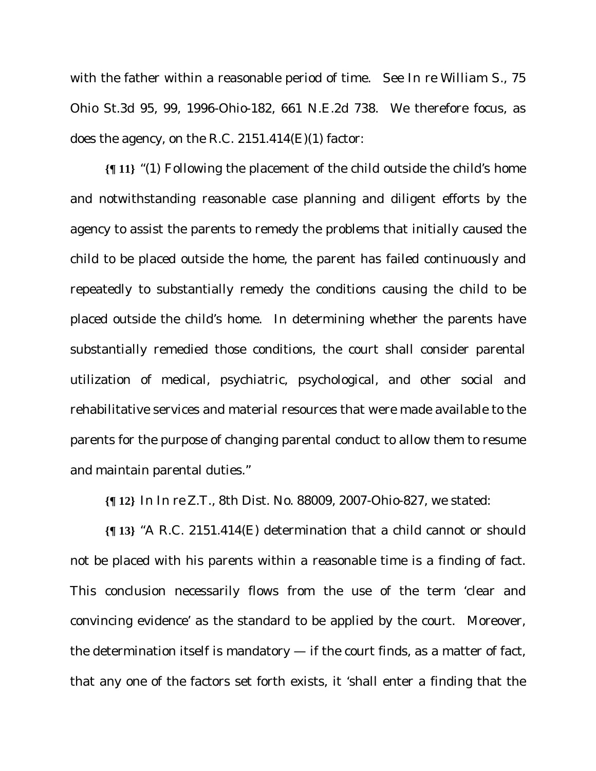with the father within a reasonable period of time. See *In re William S*., 75 Ohio St.3d 95, 99, 1996-Ohio-182, 661 N.E.2d 738. We therefore focus, as does the agency, on the R.C.  $2151.414(E)(1)$  factor:

**{¶ 11}** "(1) Following the placement of the child outside the child's home and notwithstanding reasonable case planning and diligent efforts by the agency to assist the parents to remedy the problems that initially caused the child to be placed outside the home, the parent has failed continuously and repeatedly to substantially remedy the conditions causing the child to be placed outside the child's home. In determining whether the parents have substantially remedied those conditions, the court shall consider parental utilization of medical, psychiatric, psychological, and other social and rehabilitative services and material resources that were made available to the parents for the purpose of changing parental conduct to allow them to resume and maintain parental duties."

**{¶ 12}** In *In re Z.T.*, 8th Dist. No. 88009, 2007-Ohio-827, we stated:

**{¶ 13}** "A R.C. 2151.414(E) determination that a child cannot or should not be placed with his parents within a reasonable time is a finding of fact. This conclusion necessarily flows from the use of the term 'clear and convincing evidence' as the standard to be applied by the court. Moreover, the determination itself is mandatory  $-$  if the court finds, as a matter of fact, that any one of the factors set forth exists, it 'shall enter a finding that the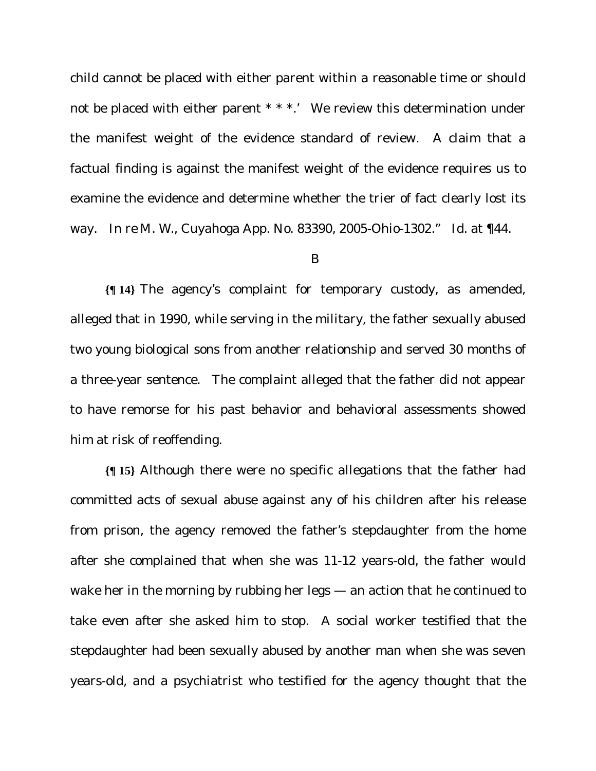child cannot be placed with either parent within a reasonable time or should not be placed with either parent \* \* \*.' We review this determination under the manifest weight of the evidence standard of review. A claim that a factual finding is against the manifest weight of the evidence requires us to examine the evidence and determine whether the trier of fact clearly lost its way. *In re M. W*., Cuyahoga App. No. 83390, 2005-Ohio-1302." Id. at ¶44.

#### B

**{¶ 14}** The agency's complaint for temporary custody, as amended, alleged that in 1990, while serving in the military, the father sexually abused two young biological sons from another relationship and served 30 months of a three-year sentence. The complaint alleged that the father did not appear to have remorse for his past behavior and behavioral assessments showed him at risk of reoffending.

**{¶ 15}** Although there were no specific allegations that the father had committed acts of sexual abuse against any of his children after his release from prison, the agency removed the father's stepdaughter from the home after she complained that when she was 11-12 years-old, the father would wake her in the morning by rubbing her legs — an action that he continued to take even after she asked him to stop. A social worker testified that the stepdaughter had been sexually abused by another man when she was seven years-old, and a psychiatrist who testified for the agency thought that the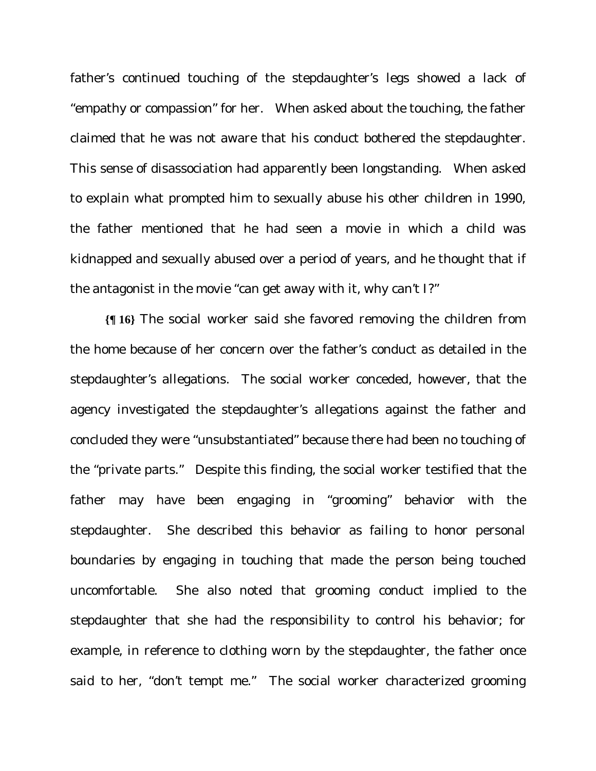father's continued touching of the stepdaughter's legs showed a lack of "empathy or compassion" for her. When asked about the touching, the father claimed that he was not aware that his conduct bothered the stepdaughter. This sense of disassociation had apparently been longstanding. When asked to explain what prompted him to sexually abuse his other children in 1990, the father mentioned that he had seen a movie in which a child was kidnapped and sexually abused over a period of years, and he thought that if the antagonist in the movie "can get away with it, why can't I?"

**{¶ 16}** The social worker said she favored removing the children from the home because of her concern over the father's conduct as detailed in the stepdaughter's allegations. The social worker conceded, however, that the agency investigated the stepdaughter's allegations against the father and concluded they were "unsubstantiated" because there had been no touching of the "private parts." Despite this finding, the social worker testified that the father may have been engaging in "grooming" behavior with the stepdaughter. She described this behavior as failing to honor personal boundaries by engaging in touching that made the person being touched uncomfortable. She also noted that grooming conduct implied to the stepdaughter that she had the responsibility to control his behavior; for example, in reference to clothing worn by the stepdaughter, the father once said to her, "don't tempt me." The social worker characterized grooming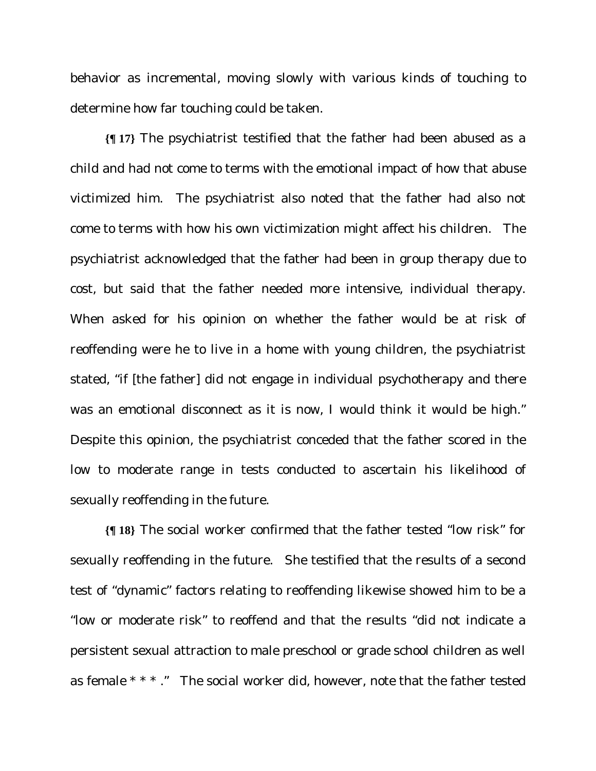behavior as incremental, moving slowly with various kinds of touching to determine how far touching could be taken.

**{¶ 17}** The psychiatrist testified that the father had been abused as a child and had not come to terms with the emotional impact of how that abuse victimized him. The psychiatrist also noted that the father had also not come to terms with how his own victimization might affect his children. The psychiatrist acknowledged that the father had been in group therapy due to cost, but said that the father needed more intensive, individual therapy. When asked for his opinion on whether the father would be at risk of reoffending were he to live in a home with young children, the psychiatrist stated, "if [the father] did not engage in individual psychotherapy and there was an emotional disconnect as it is now, I would think it would be high." Despite this opinion, the psychiatrist conceded that the father scored in the low to moderate range in tests conducted to ascertain his likelihood of sexually reoffending in the future.

**{¶ 18}** The social worker confirmed that the father tested "low risk" for sexually reoffending in the future. She testified that the results of a second test of "dynamic" factors relating to reoffending likewise showed him to be a "low or moderate risk" to reoffend and that the results "did not indicate a persistent sexual attraction to male preschool or grade school children as well as female \* \* \* ." The social worker did, however, note that the father tested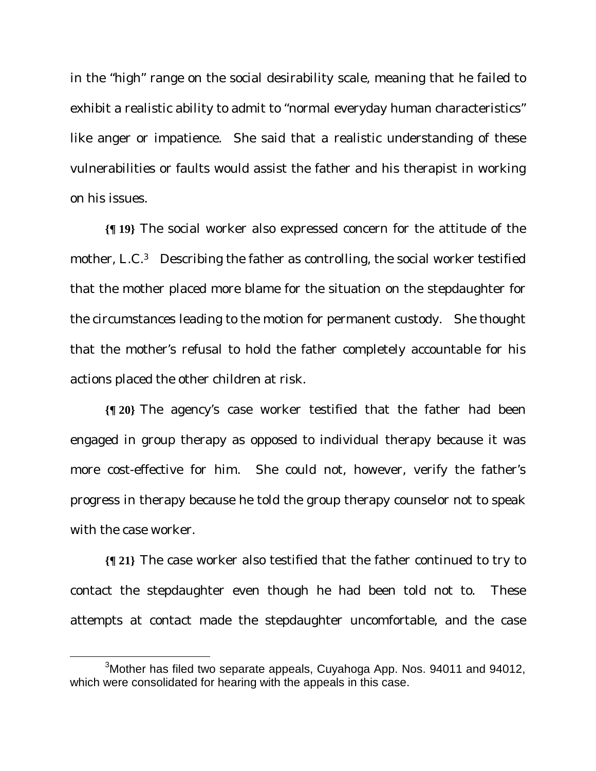in the "high" range on the social desirability scale, meaning that he failed to exhibit a realistic ability to admit to "normal everyday human characteristics" like anger or impatience. She said that a realistic understanding of these vulnerabilities or faults would assist the father and his therapist in working on his issues.

**{¶ 19}** The social worker also expressed concern for the attitude of the mother, L.C.<sup>3</sup> Describing the father as controlling, the social worker testified that the mother placed more blame for the situation on the stepdaughter for the circumstances leading to the motion for permanent custody. She thought that the mother's refusal to hold the father completely accountable for his actions placed the other children at risk.

**{¶ 20}** The agency's case worker testified that the father had been engaged in group therapy as opposed to individual therapy because it was more cost-effective for him. She could not, however, verify the father's progress in therapy because he told the group therapy counselor not to speak with the case worker.

**{¶ 21}** The case worker also testified that the father continued to try to contact the stepdaughter even though he had been told not to. These attempts at contact made the stepdaughter uncomfortable, and the case

 $\frac{1}{3}$ <sup>3</sup> Mother has filed two separate appeals, Cuyahoga App. Nos. 94011 and 94012, which were consolidated for hearing with the appeals in this case.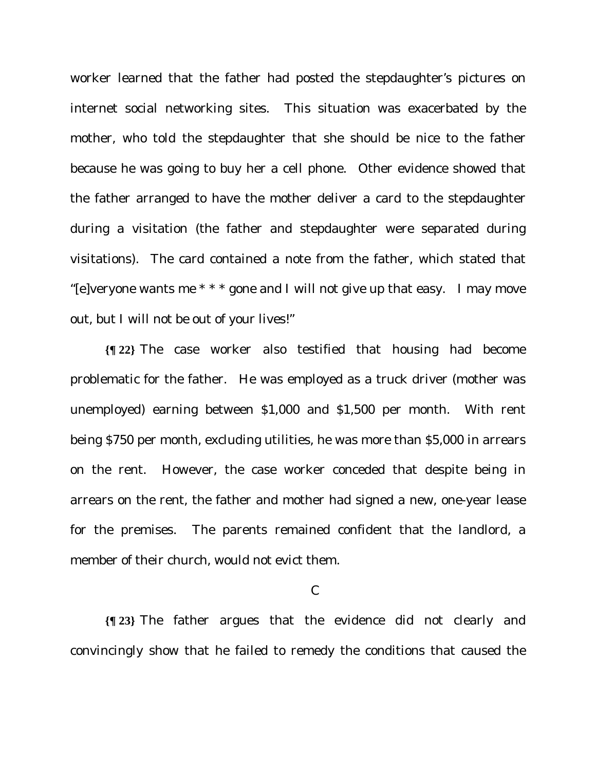worker learned that the father had posted the stepdaughter's pictures on internet social networking sites. This situation was exacerbated by the mother, who told the stepdaughter that she should be nice to the father because he was going to buy her a cell phone. Other evidence showed that the father arranged to have the mother deliver a card to the stepdaughter during a visitation (the father and stepdaughter were separated during visitations). The card contained a note from the father, which stated that "[e]veryone wants me  $***$  gone and I will not give up that easy. I may move out, but I will not be out of your lives!"

**{¶ 22}** The case worker also testified that housing had become problematic for the father. He was employed as a truck driver (mother was unemployed) earning between \$1,000 and \$1,500 per month. With rent being \$750 per month, excluding utilities, he was more than \$5,000 in arrears on the rent. However, the case worker conceded that despite being in arrears on the rent, the father and mother had signed a new, one-year lease for the premises. The parents remained confident that the landlord, a member of their church, would not evict them.

#### C

**{¶ 23}** The father argues that the evidence did not clearly and convincingly show that he failed to remedy the conditions that caused the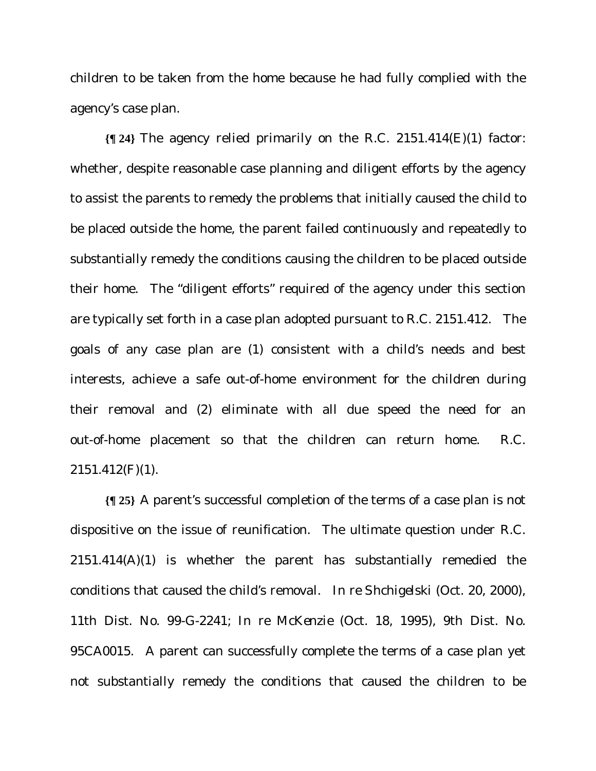children to be taken from the home because he had fully complied with the agency's case plan.

**{¶ 24}** The agency relied primarily on the R.C. 2151.414(E)(1) factor: whether, despite reasonable case planning and diligent efforts by the agency to assist the parents to remedy the problems that initially caused the child to be placed outside the home, the parent failed continuously and repeatedly to substantially remedy the conditions causing the children to be placed outside their home. The "diligent efforts" required of the agency under this section are typically set forth in a case plan adopted pursuant to R.C. 2151.412. The goals of any case plan are (1) consistent with a child's needs and best interests, achieve a safe out-of-home environment for the children during their removal and (2) eliminate with all due speed the need for an out-of-home placement so that the children can return home. R.C.  $2151.412(F)(1)$ .

**{¶ 25}** A parent's successful completion of the terms of a case plan is not dispositive on the issue of reunification. The ultimate question under R.C. 2151.414(A)(1) is whether the parent has substantially remedied the conditions that caused the child's removal. *In re Shchigelski* (Oct. 20, 2000), 11th Dist. No. 99-G-2241; *In re McKenzie* (Oct. 18, 1995), 9th Dist. No. 95CA0015. A parent can successfully complete the terms of a case plan yet not substantially remedy the conditions that caused the children to be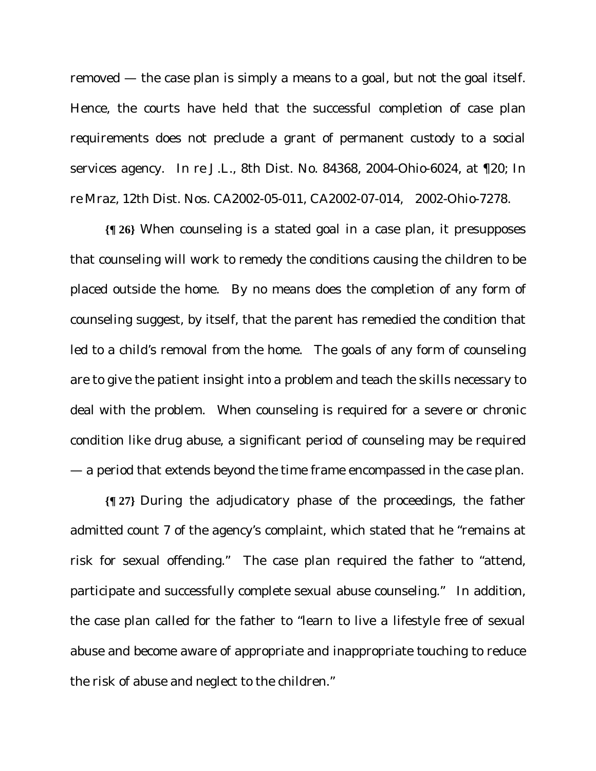removed — the case plan is simply a means to a goal, but not the goal itself. Hence, the courts have held that the successful completion of case plan requirements does not preclude a grant of permanent custody to a social services agency. *In re J.L.*, 8th Dist. No. 84368, 2004-Ohio-6024, at ¶20; *In re Mraz*, 12th Dist. Nos. CA2002-05-011, CA2002-07-014, 2002-Ohio-7278.

**{¶ 26}** When counseling is a stated goal in a case plan, it presupposes that counseling will work to remedy the conditions causing the children to be placed outside the home. By no means does the completion of any form of counseling suggest, by itself, that the parent has remedied the condition that led to a child's removal from the home. The goals of any form of counseling are to give the patient insight into a problem and teach the skills necessary to deal with the problem. When counseling is required for a severe or chronic condition like drug abuse, a significant period of counseling may be required — a period that extends beyond the time frame encompassed in the case plan.

**{¶ 27}** During the adjudicatory phase of the proceedings, the father admitted count 7 of the agency's complaint, which stated that he "remains at risk for sexual offending." The case plan required the father to "attend, participate and successfully complete sexual abuse counseling." In addition, the case plan called for the father to "learn to live a lifestyle free of sexual abuse and become aware of appropriate and inappropriate touching to reduce the risk of abuse and neglect to the children."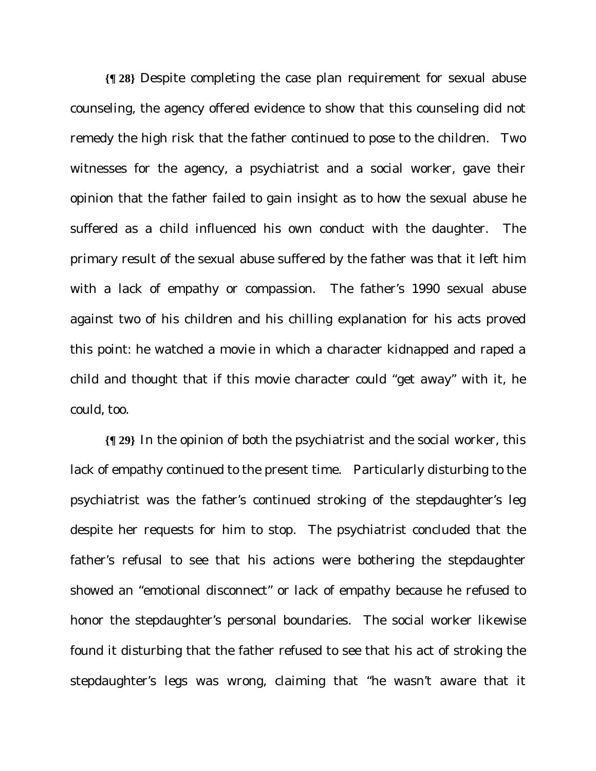**{¶ 28}** Despite completing the case plan requirement for sexual abuse counseling, the agency offered evidence to show that this counseling did not remedy the high risk that the father continued to pose to the children. Two witnesses for the agency, a psychiatrist and a social worker, gave their opinion that the father failed to gain insight as to how the sexual abuse he suffered as a child influenced his own conduct with the daughter. The primary result of the sexual abuse suffered by the father was that it left him with a lack of empathy or compassion. The father's 1990 sexual abuse against two of his children and his chilling explanation for his acts proved this point: he watched a movie in which a character kidnapped and raped a child and thought that if this movie character could "get away" with it, he could, too.

**{¶ 29}** In the opinion of both the psychiatrist and the social worker, this lack of empathy continued to the present time. Particularly disturbing to the psychiatrist was the father's continued stroking of the stepdaughter's leg despite her requests for him to stop. The psychiatrist concluded that the father's refusal to see that his actions were bothering the stepdaughter showed an "emotional disconnect" or lack of empathy because he refused to honor the stepdaughter's personal boundaries. The social worker likewise found it disturbing that the father refused to see that his act of stroking the stepdaughter's legs was wrong, claiming that "he wasn't aware that it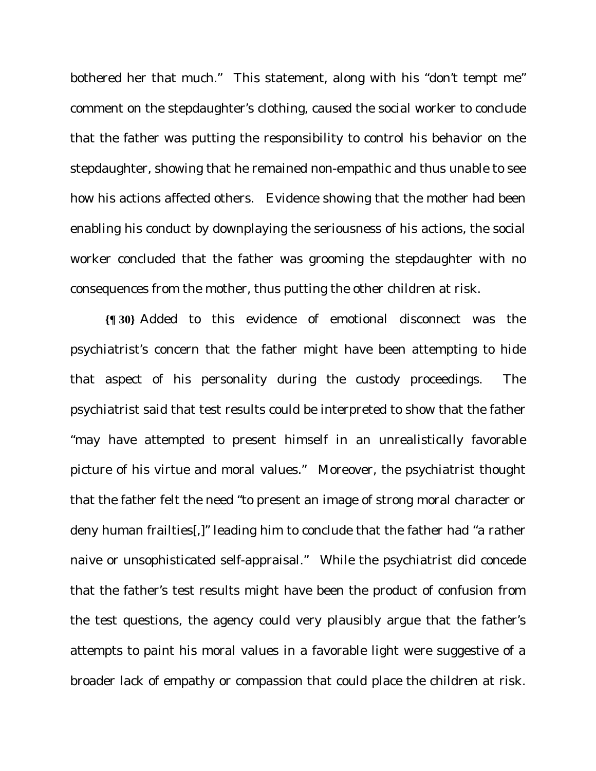bothered her that much." This statement, along with his "don't tempt me" comment on the stepdaughter's clothing, caused the social worker to conclude that the father was putting the responsibility to control his behavior on the stepdaughter, showing that he remained non-empathic and thus unable to see how his actions affected others. Evidence showing that the mother had been enabling his conduct by downplaying the seriousness of his actions, the social worker concluded that the father was grooming the stepdaughter with no consequences from the mother, thus putting the other children at risk.

**{¶ 30}** Added to this evidence of emotional disconnect was the psychiatrist's concern that the father might have been attempting to hide that aspect of his personality during the custody proceedings. The psychiatrist said that test results could be interpreted to show that the father "may have attempted to present himself in an unrealistically favorable picture of his virtue and moral values." Moreover, the psychiatrist thought that the father felt the need "to present an image of strong moral character or deny human frailties[,]" leading him to conclude that the father had "a rather naive or unsophisticated self-appraisal." While the psychiatrist did concede that the father's test results might have been the product of confusion from the test questions, the agency could very plausibly argue that the father's attempts to paint his moral values in a favorable light were suggestive of a broader lack of empathy or compassion that could place the children at risk.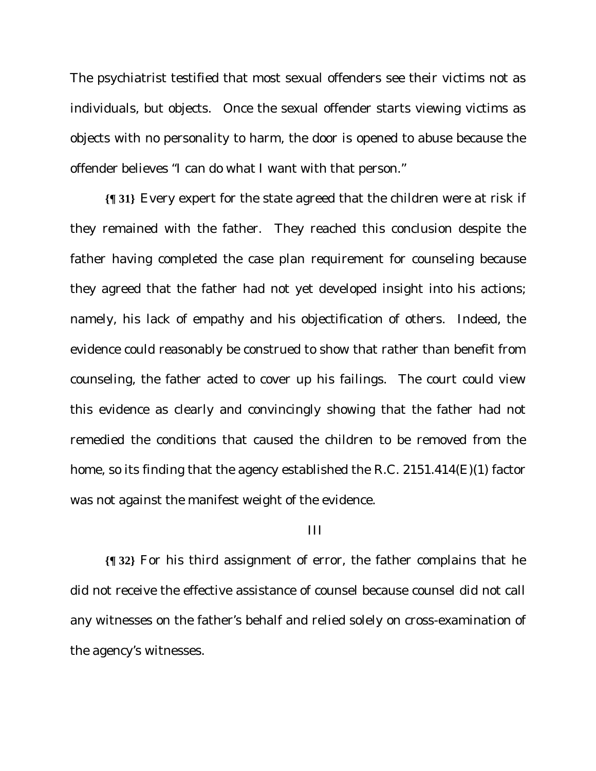The psychiatrist testified that most sexual offenders see their victims not as individuals, but objects. Once the sexual offender starts viewing victims as objects with no personality to harm, the door is opened to abuse because the offender believes "I can do what I want with that person."

**{¶ 31}** Every expert for the state agreed that the children were at risk if they remained with the father. They reached this conclusion despite the father having completed the case plan requirement for counseling because they agreed that the father had not yet developed insight into his actions; namely, his lack of empathy and his objectification of others. Indeed, the evidence could reasonably be construed to show that rather than benefit from counseling, the father acted to cover up his failings. The court could view this evidence as clearly and convincingly showing that the father had not remedied the conditions that caused the children to be removed from the home, so its finding that the agency established the R.C. 2151.414(E)(1) factor was not against the manifest weight of the evidence.

#### III

**{¶ 32}** For his third assignment of error, the father complains that he did not receive the effective assistance of counsel because counsel did not call any witnesses on the father's behalf and relied solely on cross-examination of the agency's witnesses.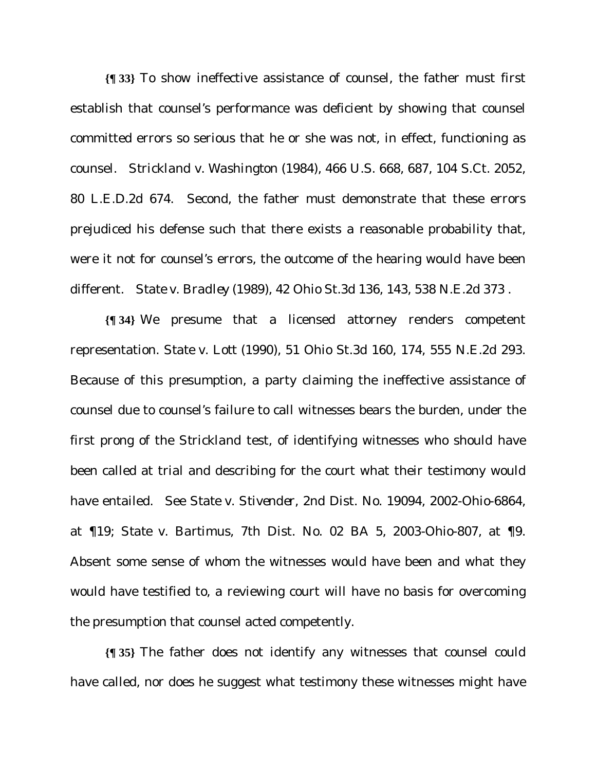**{¶ 33}** To show ineffective assistance of counsel, the father must first establish that counsel's performance was deficient by showing that counsel committed errors so serious that he or she was not, in effect, functioning as counsel. *Strickland v. Washington* (1984), 466 U.S. 668, 687, 104 S.Ct. 2052, 80 L.E.D.2d 674. Second, the father must demonstrate that these errors prejudiced his defense such that there exists a reasonable probability that, were it not for counsel's errors, the outcome of the hearing would have been different. *State v. Bradley* (1989), 42 Ohio St.3d 136, 143, 538 N.E.2d 373 .

**{¶ 34}** We presume that a licensed attorney renders competent representation. *State v. Lott* (1990), 51 Ohio St.3d 160, 174, 555 N.E.2d 293. Because of this presumption, a party claiming the ineffective assistance of counsel due to counsel's failure to call witnesses bears the burden, under the first prong of the *Strickland* test, of identifying witnesses who should have been called at trial and describing for the court what their testimony would have entailed. See *State v. Stivender*, 2nd Dist. No. 19094, 2002-Ohio-6864, at ¶19; *State v. Bartimus*, 7th Dist. No. 02 BA 5, 2003-Ohio-807, at ¶9. Absent some sense of whom the witnesses would have been and what they would have testified to, a reviewing court will have no basis for overcoming the presumption that counsel acted competently.

**{¶ 35}** The father does not identify any witnesses that counsel could have called, nor does he suggest what testimony these witnesses might have